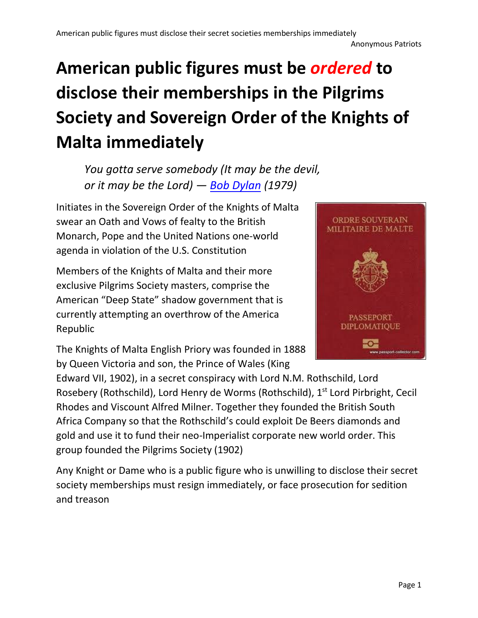## **American public figures must be** *ordered* **to disclose their memberships in the Pilgrims Society and Sovereign Order of the Knights of Malta immediately**

*You gotta serve somebody (It may be the devil, or it may be the Lord) — [Bob Dylan](https://youtu.be/wC10VWDTzmU) (1979)*

Initiates in the Sovereign Order of the Knights of Malta swear an Oath and Vows of fealty to the British Monarch, Pope and the United Nations one-world agenda in violation of the U.S. Constitution

Members of the Knights of Malta and their more exclusive Pilgrims Society masters, comprise the American "Deep State" shadow government that is currently attempting an overthrow of the America Republic

The Knights of Malta English Priory was founded in 1888 by Queen Victoria and son, the Prince of Wales (King

Edward VII, 1902), in a secret conspiracy with Lord N.M. Rothschild, Lord Rosebery (Rothschild), Lord Henry de Worms (Rothschild), 1<sup>st</sup> Lord Pirbright, Cecil Rhodes and Viscount Alfred Milner. Together they founded the British South Africa Company so that the Rothschild's could exploit De Beers diamonds and gold and use it to fund their neo-Imperialist corporate new world order. This group founded the Pilgrims Society (1902)

Any Knight or Dame who is a public figure who is unwilling to disclose their secret society memberships must resign immediately, or face prosecution for sedition and treason

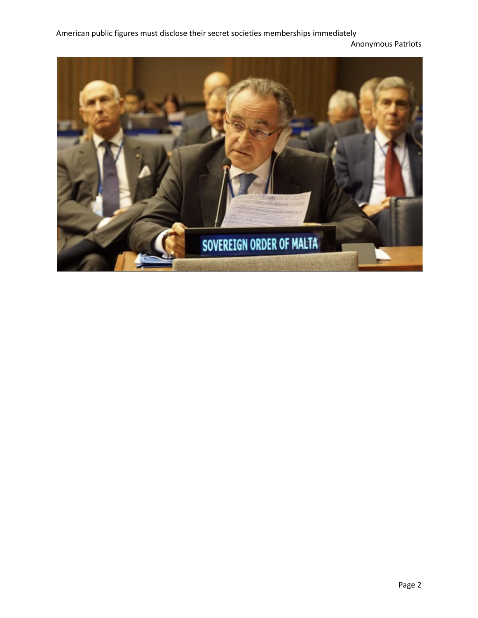American public figures must disclose their secret societies memberships immediately

## Anonymous Patriots

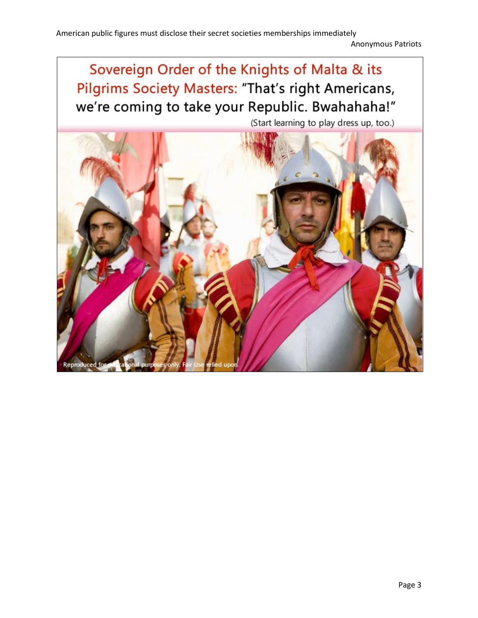Sovereign Order of the Knights of Malta & its Pilgrims Society Masters: "That's right Americans, we're coming to take your Republic. Bwahahaha!"

(Start learning to play dress up, too.)

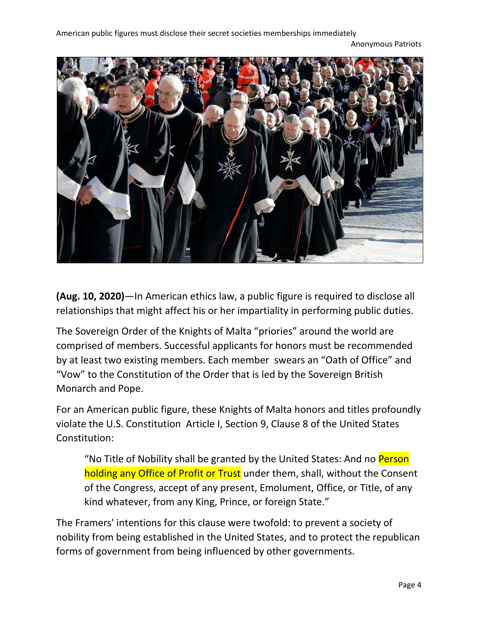

**(Aug. 10, 2020)**—In American ethics law, a public figure is required to disclose all relationships that might affect his or her impartiality in performing public duties.

The Sovereign Order of the Knights of Malta "priories" around the world are comprised of members. Successful applicants for honors must be recommended by at least two existing members. Each member swears an "Oath of Office" and "Vow" to the Constitution of the Order that is led by the Sovereign British Monarch and Pope.

For an American public figure, these Knights of Malta honors and titles profoundly violate the U.S. Constitution Article I, Section 9, Clause 8 of the United States Constitution:

"No Title of Nobility shall be granted by the United States: And no Person holding any Office of Profit or Trust under them, shall, without the Consent of the Congress, accept of any present, Emolument, Office, or Title, of any kind whatever, from any King, Prince, or foreign State."

The Framers' intentions for this clause were twofold: to prevent a society of nobility from being established in the United States, and to protect the republican forms of government from being influenced by other governments.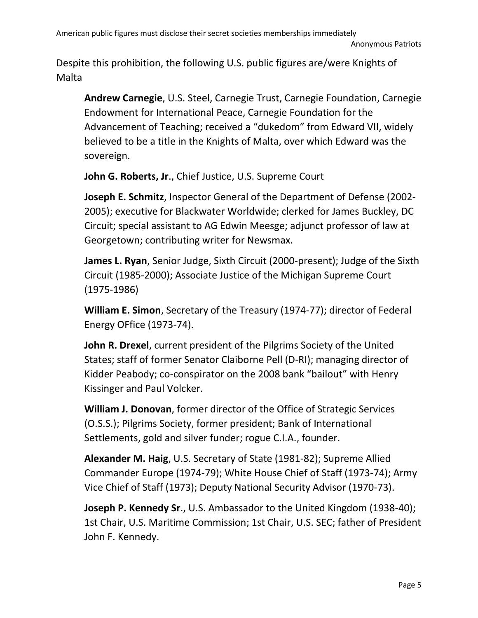Despite this prohibition, the following U.S. public figures are/were Knights of Malta

**Andrew Carnegie**, U.S. Steel, Carnegie Trust, Carnegie Foundation, Carnegie Endowment for International Peace, Carnegie Foundation for the Advancement of Teaching; received a "dukedom" from Edward VII, widely believed to be a title in the Knights of Malta, over which Edward was the sovereign.

**John G. Roberts, Jr**., Chief Justice, U.S. Supreme Court

**Joseph E. Schmitz**, Inspector General of the Department of Defense (2002- 2005); executive for Blackwater Worldwide; clerked for James Buckley, DC Circuit; special assistant to AG Edwin Meesge; adjunct professor of law at Georgetown; contributing writer for Newsmax.

**James L. Ryan**, Senior Judge, Sixth Circuit (2000-present); Judge of the Sixth Circuit (1985-2000); Associate Justice of the Michigan Supreme Court (1975-1986)

**William E. Simon**, Secretary of the Treasury (1974-77); director of Federal Energy OFfice (1973-74).

**John R. Drexel**, current president of the Pilgrims Society of the United States; staff of former Senator Claiborne Pell (D-RI); managing director of Kidder Peabody; co-conspirator on the 2008 bank "bailout" with Henry Kissinger and Paul Volcker.

**William J. Donovan**, former director of the Office of Strategic Services (O.S.S.); Pilgrims Society, former president; Bank of International Settlements, gold and silver funder; rogue C.I.A., founder.

**Alexander M. Haig**, U.S. Secretary of State (1981-82); Supreme Allied Commander Europe (1974-79); White House Chief of Staff (1973-74); Army Vice Chief of Staff (1973); Deputy National Security Advisor (1970-73).

**Joseph P. Kennedy Sr**., U.S. Ambassador to the United Kingdom (1938-40); 1st Chair, U.S. Maritime Commission; 1st Chair, U.S. SEC; father of President John F. Kennedy.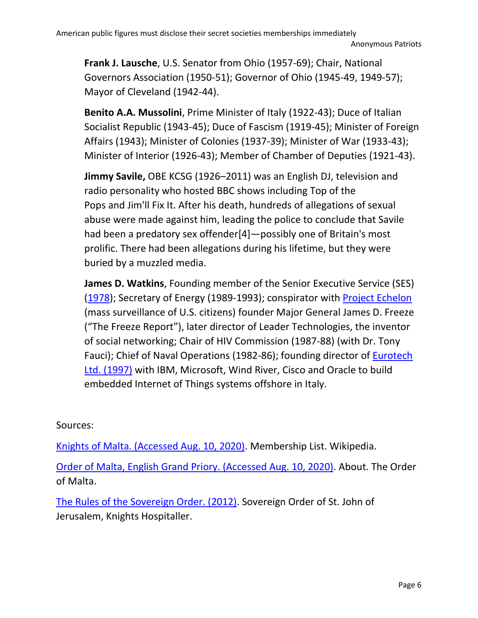**Frank J. Lausche**, U.S. Senator from Ohio (1957-69); Chair, National Governors Association (1950-51); Governor of Ohio (1945-49, 1949-57); Mayor of Cleveland (1942-44).

**Benito A.A. Mussolini**, Prime Minister of Italy (1922-43); Duce of Italian Socialist Republic (1943-45); Duce of Fascism (1919-45); Minister of Foreign Affairs (1943); Minister of Colonies (1937-39); Minister of War (1933-43); Minister of Interior (1926-43); Member of Chamber of Deputies (1921-43).

**Jimmy Savile,** [OBE](https://en.wikipedia.org/wiki/Officer_of_the_Order_of_the_British_Empire) [KCSG](https://en.wikipedia.org/wiki/Knight_Commander_of_the_Order_of_St_Gregory_the_Great) (1926–2011) was an English [DJ,](https://en.wikipedia.org/wiki/Disc_jockey) television and radio personality who hosted [BBC](https://en.wikipedia.org/wiki/BBC) shows including [Top of the](https://en.wikipedia.org/wiki/Top_of_the_Pops)  [Pops](https://en.wikipedia.org/wiki/Top_of_the_Pops) and [Jim'll Fix It.](https://en.wikipedia.org/wiki/Jim%27ll_Fix_It) After his death, hundreds of [allegations of sexual](https://en.wikipedia.org/wiki/Jimmy_Savile_sexual_abuse_scandal)  [abuse](https://en.wikipedia.org/wiki/Jimmy_Savile_sexual_abuse_scandal) were made against him, leading the police to conclude that Savile had been a predatory [sex offender](https://en.wikipedia.org/wiki/Sex_offender)[\[4\]](https://en.wikipedia.org/wiki/Jimmy_Savile#cite_note-bbc_9_Oct_2012-4)—possibly one of Britain's most prolific. There had been allegations [during his lifetime,](https://en.wikipedia.org/wiki/Jimmy_Savile#During_his_lifetime) but they were buried by a muzzled media.

**James D. Watkins**, Founding member of the Senior Executive Service (SES) [\(1978\)](https://fbcoverup.com/docs/cyberhijack/cyber-hijack-findings.html#ses-1992-plum-book); Secretary of Energy (1989-1993); conspirator with [Project Echelon](https://fbcoverup.com/docs/cyberhijack/cyber-hijack-findings.html#1975) (mass surveillance of U.S. citizens) founder Major General James D. Freeze ("The Freeze Report"), later director of Leader Technologies, the inventor of social networking; Chair of HIV Commission (1987-88) (with Dr. Tony Fauci); Chief of Naval Operations (1982-86); founding director of [Eurotech](https://fbcoverup.com/docs/cyberhijack/cyber-hijack-findings.html#eurotech-founded-02-12-1997)  [Ltd. \(1997\)](https://fbcoverup.com/docs/cyberhijack/cyber-hijack-findings.html#eurotech-founded-02-12-1997) with IBM, Microsoft, Wind River, Cisco and Oracle to build embedded Internet of Things systems offshore in Italy.

Sources:

[Knights of Malta. \(Accessed Aug. 10, 2020\).](https://en.wikipedia.org/w/index.php?title=Category:Knights_of_Malta&from=D) Membership List. Wikipedia.

[Order of Malta, English Grand Priory. \(Accessed Aug. 10, 2020\).](https://www.orderofmalta.org.uk/about/government/) About. The Order of Malta.

[The Rules of the Sovereign Order. \(2012\).](https://www.sosjinternational.org/wp-content/uploads/members-only/The-Rules-of-the-Sovereign-Order.pdf) Sovereign Order of St. John of Jerusalem, Knights Hospitaller.